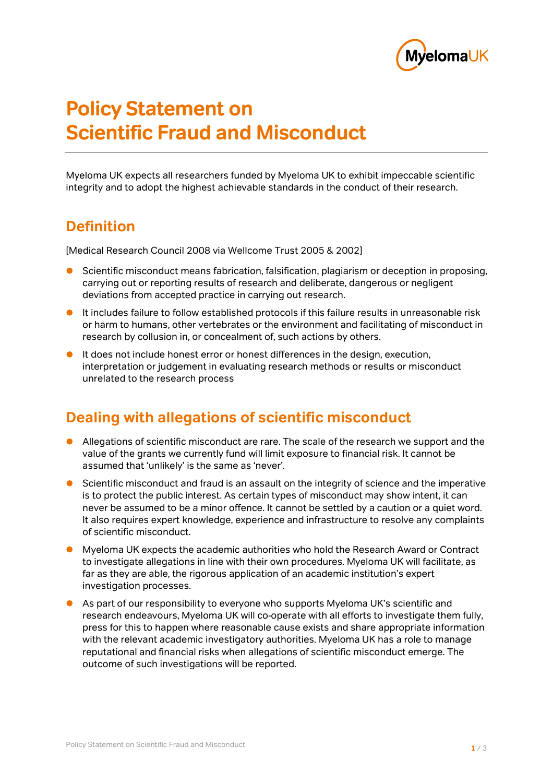

# **Policy Statement on Scientific Fraud and Misconduct**

Myeloma UK expects all researchers funded by Myeloma UK to exhibit impeccable scientific integrity and to adopt the highest achievable standards in the conduct of their research.

## **Definition**

[Medical Research Council 2008 via Wellcome Trust 2005 & 2002]

- Scientific misconduct means fabrication, falsification, plagiarism or deception in proposing, carrying out or reporting results of research and deliberate, dangerous or negligent deviations from accepted practice in carrying out research.
- It includes failure to follow established protocols if this failure results in unreasonable risk or harm to humans, other vertebrates or the environment and facilitating of misconduct in research by collusion in, or concealment of, such actions by others.
- It does not include honest error or honest differences in the design, execution, interpretation or judgement in evaluating research methods or results or misconduct unrelated to the research process

## **Dealing with allegations of scientific misconduct**

- Allegations of scientific misconduct are rare. The scale of the research we support and the value of the grants we currently fund will limit exposure to financial risk. It cannot be assumed that 'unlikely' is the same as 'never'.
- **•** Scientific misconduct and fraud is an assault on the integrity of science and the imperative is to protect the public interest. As certain types of misconduct may show intent, it can never be assumed to be a minor offence. It cannot be settled by a caution or a quiet word. It also requires expert knowledge, experience and infrastructure to resolve any complaints of scientific misconduct.
- Myeloma UK expects the academic authorities who hold the Research Award or Contract to investigate allegations in line with their own procedures. Myeloma UK will facilitate, as far as they are able, the rigorous application of an academic institution's expert investigation processes.
- As part of our responsibility to everyone who supports Myeloma UK's scientific and research endeavours, Myeloma UK will co-operate with all efforts to investigate them fully, press for this to happen where reasonable cause exists and share appropriate information with the relevant academic investigatory authorities. Myeloma UK has a role to manage reputational and financial risks when allegations of scientific misconduct emerge. The outcome of such investigations will be reported.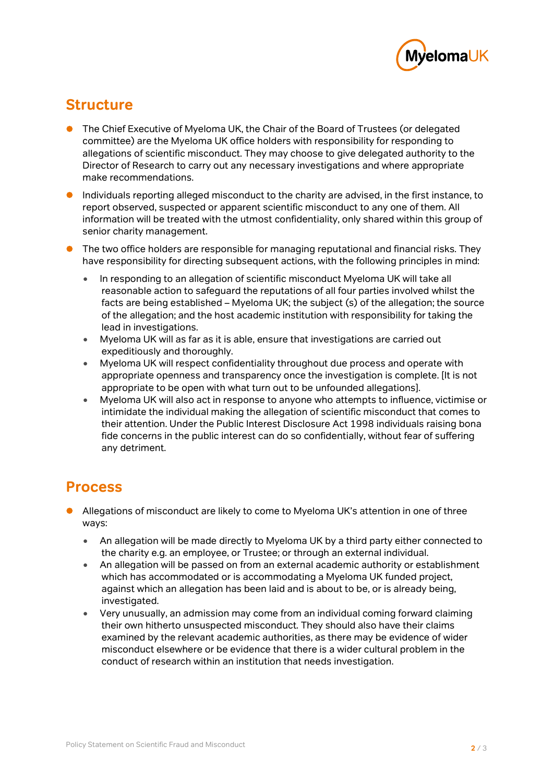

## **Structure**

- The Chief Executive of Myeloma UK, the Chair of the Board of Trustees (or delegated committee) are the Myeloma UK office holders with responsibility for responding to allegations of scientific misconduct. They may choose to give delegated authority to the Director of Research to carry out any necessary investigations and where appropriate make recommendations.
- Individuals reporting alleged misconduct to the charity are advised, in the first instance, to report observed, suspected or apparent scientific misconduct to any one of them. All information will be treated with the utmost confidentiality, only shared within this group of senior charity management.
- The two office holders are responsible for managing reputational and financial risks. They have responsibility for directing subsequent actions, with the following principles in mind:
	- In responding to an allegation of scientific misconduct Myeloma UK will take all reasonable action to safeguard the reputations of all four parties involved whilst the facts are being established – Myeloma UK; the subject (s) of the allegation; the source of the allegation; and the host academic institution with responsibility for taking the lead in investigations.
	- Myeloma UK will as far as it is able, ensure that investigations are carried out expeditiously and thoroughly.
	- Myeloma UK will respect confidentiality throughout due process and operate with appropriate openness and transparency once the investigation is complete. [It is not appropriate to be open with what turn out to be unfounded allegations].
	- Myeloma UK will also act in response to anyone who attempts to influence, victimise or intimidate the individual making the allegation of scientific misconduct that comes to their attention. Under the Public Interest Disclosure Act 1998 individuals raising bona fide concerns in the public interest can do so confidentially, without fear of suffering any detriment.

#### **Process**

- Allegations of misconduct are likely to come to Myeloma UK's attention in one of three ways:
	- An allegation will be made directly to Myeloma UK by a third party either connected to the charity e.g. an employee, or Trustee; or through an external individual.
	- An allegation will be passed on from an external academic authority or establishment which has accommodated or is accommodating a Myeloma UK funded project, against which an allegation has been laid and is about to be, or is already being, investigated.
	- Very unusually, an admission may come from an individual coming forward claiming their own hitherto unsuspected misconduct. They should also have their claims examined by the relevant academic authorities, as there may be evidence of wider misconduct elsewhere or be evidence that there is a wider cultural problem in the conduct of research within an institution that needs investigation.